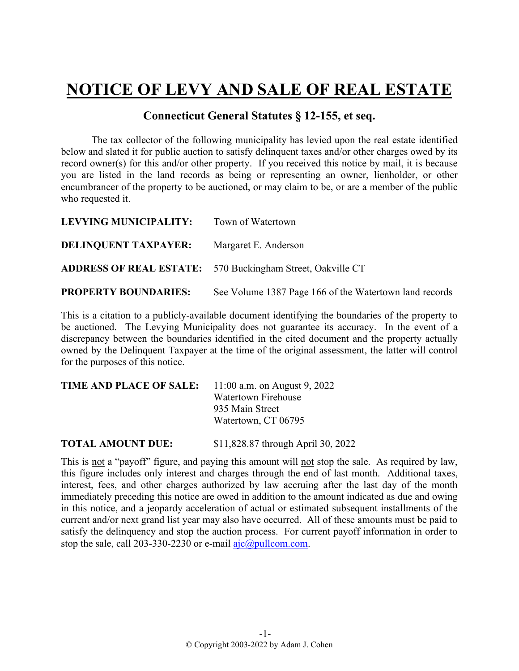## **NOTICE OF LEVY AND SALE OF REAL ESTATE**

## **Connecticut General Statutes § 12-155, et seq.**

The tax collector of the following municipality has levied upon the real estate identified below and slated it for public auction to satisfy delinquent taxes and/or other charges owed by its record owner(s) for this and/or other property. If you received this notice by mail, it is because you are listed in the land records as being or representing an owner, lienholder, or other encumbrancer of the property to be auctioned, or may claim to be, or are a member of the public who requested it.

| LEVYING MUNICIPALITY:       | Town of Watertown                                                 |
|-----------------------------|-------------------------------------------------------------------|
| <b>DELINQUENT TAXPAYER:</b> | Margaret E. Anderson                                              |
|                             | <b>ADDRESS OF REAL ESTATE:</b> 570 Buckingham Street, Oakville CT |
| <b>PROPERTY BOUNDARIES:</b> | See Volume 1387 Page 166 of the Watertown land records            |

This is a citation to a publicly-available document identifying the boundaries of the property to be auctioned. The Levying Municipality does not guarantee its accuracy. In the event of a discrepancy between the boundaries identified in the cited document and the property actually owned by the Delinquent Taxpayer at the time of the original assessment, the latter will control for the purposes of this notice.

| <b>TIME AND PLACE OF SALE:</b> 11:00 a.m. on August 9, 2022 |                     |
|-------------------------------------------------------------|---------------------|
|                                                             | Watertown Firehouse |
|                                                             | 935 Main Street     |
|                                                             | Watertown, CT 06795 |
|                                                             |                     |

**TOTAL AMOUNT DUE:** \$11,828.87 through April 30, 2022

This is not a "payoff" figure, and paying this amount will not stop the sale. As required by law, this figure includes only interest and charges through the end of last month. Additional taxes, interest, fees, and other charges authorized by law accruing after the last day of the month immediately preceding this notice are owed in addition to the amount indicated as due and owing in this notice, and a jeopardy acceleration of actual or estimated subsequent installments of the current and/or next grand list year may also have occurred. All of these amounts must be paid to satisfy the delinquency and stop the auction process. For current payoff information in order to stop the sale, call 203-330-2230 or e-mail  $a$ jc $@p$ ullcom.com.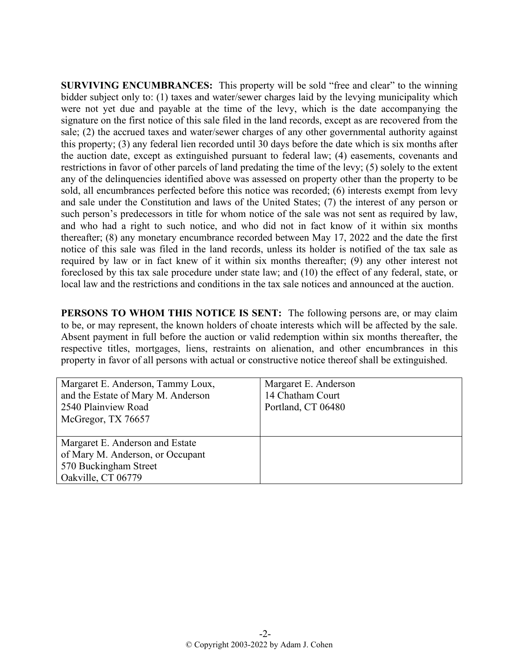**SURVIVING ENCUMBRANCES:** This property will be sold "free and clear" to the winning bidder subject only to: (1) taxes and water/sewer charges laid by the levying municipality which were not yet due and payable at the time of the levy, which is the date accompanying the signature on the first notice of this sale filed in the land records, except as are recovered from the sale; (2) the accrued taxes and water/sewer charges of any other governmental authority against this property; (3) any federal lien recorded until 30 days before the date which is six months after the auction date, except as extinguished pursuant to federal law; (4) easements, covenants and restrictions in favor of other parcels of land predating the time of the levy; (5) solely to the extent any of the delinquencies identified above was assessed on property other than the property to be sold, all encumbrances perfected before this notice was recorded; (6) interests exempt from levy and sale under the Constitution and laws of the United States; (7) the interest of any person or such person's predecessors in title for whom notice of the sale was not sent as required by law, and who had a right to such notice, and who did not in fact know of it within six months thereafter; (8) any monetary encumbrance recorded between May 17, 2022 and the date the first notice of this sale was filed in the land records, unless its holder is notified of the tax sale as required by law or in fact knew of it within six months thereafter; (9) any other interest not foreclosed by this tax sale procedure under state law; and (10) the effect of any federal, state, or local law and the restrictions and conditions in the tax sale notices and announced at the auction.

**PERSONS TO WHOM THIS NOTICE IS SENT:** The following persons are, or may claim to be, or may represent, the known holders of choate interests which will be affected by the sale. Absent payment in full before the auction or valid redemption within six months thereafter, the respective titles, mortgages, liens, restraints on alienation, and other encumbrances in this property in favor of all persons with actual or constructive notice thereof shall be extinguished.

| Margaret E. Anderson, Tammy Loux,  | Margaret E. Anderson |
|------------------------------------|----------------------|
| and the Estate of Mary M. Anderson | 14 Chatham Court     |
| 2540 Plainview Road                | Portland, CT 06480   |
| McGregor, TX 76657                 |                      |
|                                    |                      |
| Margaret E. Anderson and Estate    |                      |
| of Mary M. Anderson, or Occupant   |                      |
| 570 Buckingham Street              |                      |
| Oakville, CT 06779                 |                      |